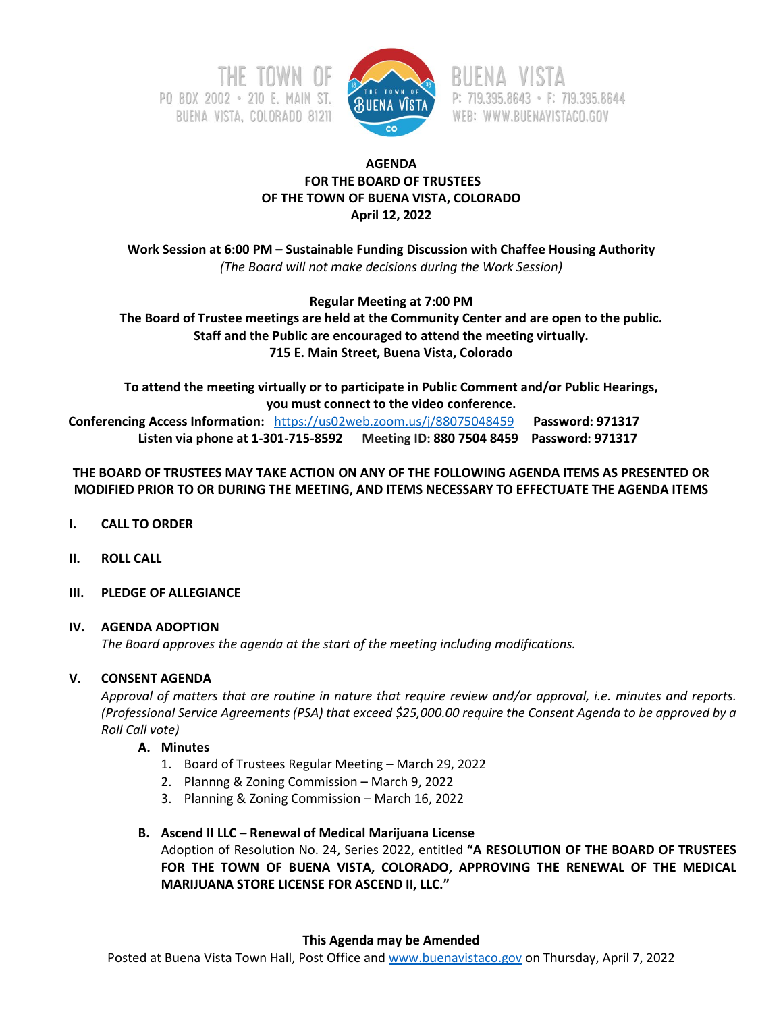



P: 719.395.8643 · F: 719.395.8644 WEB: WWW.BUENAVISTACO.GOV

## **AGENDA FOR THE BOARD OF TRUSTEES OF THE TOWN OF BUENA VISTA, COLORADO April 12, 2022**

**Work Session at 6:00 PM – Sustainable Funding Discussion with Chaffee Housing Authority**  *(The Board will not make decisions during the Work Session)*

**Regular Meeting at 7:00 PM**

**The Board of Trustee meetings are held at the Community Center and are open to the public. Staff and the Public are encouraged to attend the meeting virtually. 715 E. Main Street, Buena Vista, Colorado**

**To attend the meeting virtually or to participate in Public Comment and/or Public Hearings, you must connect to the video conference. Conferencing Access Information:** <https://us02web.zoom.us/j/88075048459>**Password: 971317 Listen via phone at 1-301-715-8592 Meeting ID: 880 7504 8459 Password: 971317**

# **THE BOARD OF TRUSTEES MAY TAKE ACTION ON ANY OF THE FOLLOWING AGENDA ITEMS AS PRESENTED OR MODIFIED PRIOR TO OR DURING THE MEETING, AND ITEMS NECESSARY TO EFFECTUATE THE AGENDA ITEMS**

- **I. CALL TO ORDER**
- **II. ROLL CALL**
- **III. PLEDGE OF ALLEGIANCE**

## **IV. AGENDA ADOPTION**

*The Board approves the agenda at the start of the meeting including modifications.*

# **V. CONSENT AGENDA**

*Approval of matters that are routine in nature that require review and/or approval, i.e. minutes and reports. (Professional Service Agreements (PSA) that exceed \$25,000.00 require the Consent Agenda to be approved by a Roll Call vote)*

## **A. Minutes**

- 1. Board of Trustees Regular Meeting March 29, 2022
- 2. Plannng & Zoning Commission March 9, 2022
- 3. Planning & Zoning Commission March 16, 2022

## **B. Ascend II LLC – Renewal of Medical Marijuana License**

Adoption of Resolution No. 24, Series 2022, entitled **"A RESOLUTION OF THE BOARD OF TRUSTEES FOR THE TOWN OF BUENA VISTA, COLORADO, APPROVING THE RENEWAL OF THE MEDICAL MARIJUANA STORE LICENSE FOR ASCEND II, LLC."**

## **This Agenda may be Amended**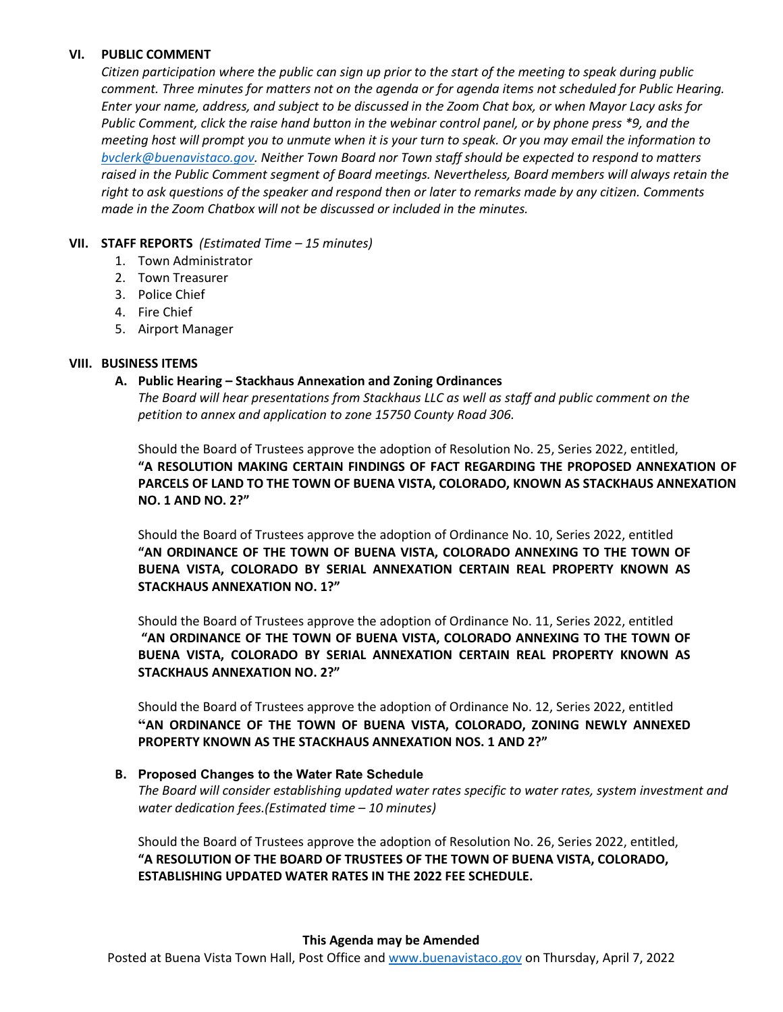## **VI. PUBLIC COMMENT**

*Citizen participation where the public can sign up prior to the start of the meeting to speak during public comment. Three minutes for matters not on the agenda or for agenda items not scheduled for Public Hearing. Enter your name, address, and subject to be discussed in the Zoom Chat box, or when Mayor Lacy asks for Public Comment, click the raise hand button in the webinar control panel, or by phone press \*9, and the meeting host will prompt you to unmute when it is your turn to speak. Or you may email the information to [bvclerk@buenavistaco.gov.](mailto:bvclerk@buenavistaco.gov) Neither Town Board nor Town staff should be expected to respond to matters raised in the Public Comment segment of Board meetings. Nevertheless, Board members will always retain the right to ask questions of the speaker and respond then or later to remarks made by any citizen. Comments made in the Zoom Chatbox will not be discussed or included in the minutes.*

## **VII. STAFF REPORTS** *(Estimated Time – 15 minutes)*

- 1. Town Administrator
- 2. Town Treasurer
- 3. Police Chief
- 4. Fire Chief
- 5. Airport Manager

#### **VIII. BUSINESS ITEMS**

### **A. Public Hearing – Stackhaus Annexation and Zoning Ordinances**

*The Board will hear presentations from Stackhaus LLC as well as staff and public comment on the petition to annex and application to zone 15750 County Road 306.*

Should the Board of Trustees approve the adoption of Resolution No. 25, Series 2022, entitled, **"A RESOLUTION MAKING CERTAIN FINDINGS OF FACT REGARDING THE PROPOSED ANNEXATION OF PARCELS OF LAND TO THE TOWN OF BUENA VISTA, COLORADO, KNOWN AS STACKHAUS ANNEXATION NO. 1 AND NO. 2?"**

Should the Board of Trustees approve the adoption of Ordinance No. 10, Series 2022, entitled **"AN ORDINANCE OF THE TOWN OF BUENA VISTA, COLORADO ANNEXING TO THE TOWN OF BUENA VISTA, COLORADO BY SERIAL ANNEXATION CERTAIN REAL PROPERTY KNOWN AS STACKHAUS ANNEXATION NO. 1?"**

Should the Board of Trustees approve the adoption of Ordinance No. 11, Series 2022, entitled **"AN ORDINANCE OF THE TOWN OF BUENA VISTA, COLORADO ANNEXING TO THE TOWN OF BUENA VISTA, COLORADO BY SERIAL ANNEXATION CERTAIN REAL PROPERTY KNOWN AS STACKHAUS ANNEXATION NO. 2?"**

Should the Board of Trustees approve the adoption of Ordinance No. 12, Series 2022, entitled **"AN ORDINANCE OF THE TOWN OF BUENA VISTA, COLORADO, ZONING NEWLY ANNEXED PROPERTY KNOWN AS THE STACKHAUS ANNEXATION NOS. 1 AND 2?"**

#### **B. Proposed Changes to the Water Rate Schedule**

*The Board will consider establishing updated water rates specific to water rates, system investment and water dedication fees.(Estimated time – 10 minutes)*

Should the Board of Trustees approve the adoption of Resolution No. 26, Series 2022, entitled, **"A RESOLUTION OF THE BOARD OF TRUSTEES OF THE TOWN OF BUENA VISTA, COLORADO, ESTABLISHING UPDATED WATER RATES IN THE 2022 FEE SCHEDULE.**

#### **This Agenda may be Amended**